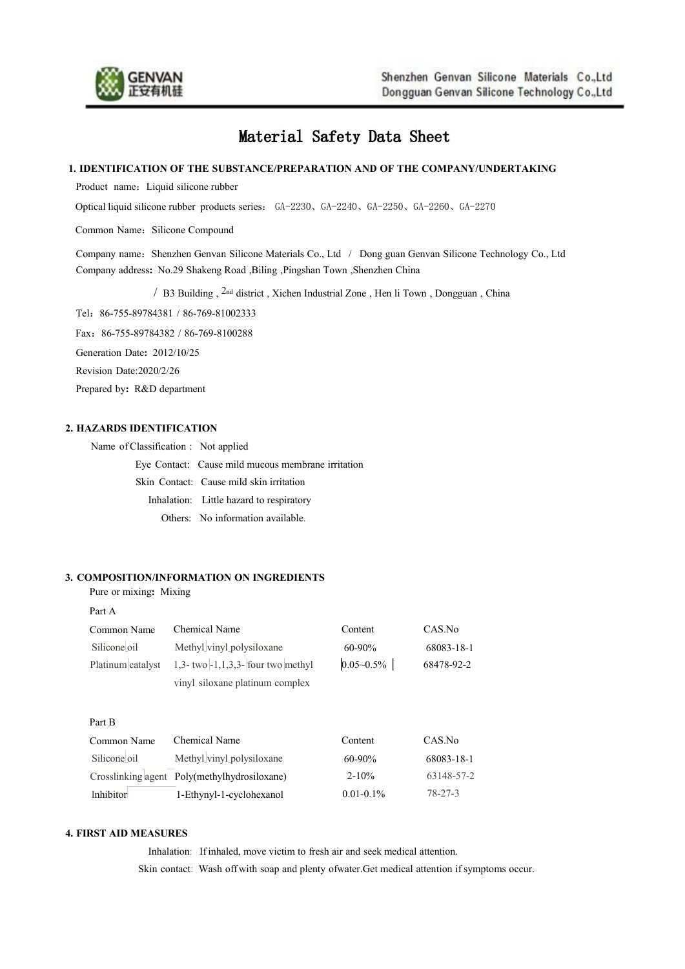

# Material Safety Data Sheet

## **1. IDENTIFICATION OF THE SUBSTANCE/PREPARATION AND OF THE COMPANY/UNDERTAKING**

Product name: Liquid silicone rubber

Optical liquid silicone rubber products series: GA-2230、GA-2240、GA-2250、GA-2260、GA-2270

Common Name: Silicone Compound

Company name: Shenzhen Genvan Silicone Materials Co., Ltd / Dong guan Genvan Silicone Technology Co., Ltd Company address**:** No.29 Shakeng Road ,Biling ,Pingshan Town ,Shenzhen China

/ B3 Building , 2nd district ,Xichen Industrial Zone , Hen li Town , Dongguan , China

Tel:86-755-89784381 / 86-769-81002333

Fax:86-755-89784382 / 86-769-8100288

Generation Date**:** 2012/10/25

Revision Date:2020/2/26

Prepared by**:** R&D department

# **2. HAZARDS IDENTIFICATION**

| Name of Classification : Not applied |                                                    |
|--------------------------------------|----------------------------------------------------|
|                                      | Eye Contact: Cause mild mucous membrane irritation |
|                                      | Skin Contact: Cause mild skin irritation           |
|                                      | Inhalation: Little hazard to respiratory           |
|                                      | Others: No information available.                  |

## **3. COMPOSITION/INFORMATION ON INGREDIENTS**

Inhibitor 1-Ethynyl-1-cyclohexanol

Pure or mixing**:** Mixing

Part A

| Common Name<br>Silicone oil<br>Platinum catalyst | Chemical Name<br>Methyl vinyl polysiloxane<br>$1,3$ - two $-1,1,3,3$ - four two methyl<br>vinyl siloxane platinum complex | Content<br>$60 - 90\%$<br>$0.05 - 0.5\%$ | CAS.No<br>68083-18-1<br>68478-92-2 |
|--------------------------------------------------|---------------------------------------------------------------------------------------------------------------------------|------------------------------------------|------------------------------------|
| Part B                                           |                                                                                                                           |                                          |                                    |
| Common Name                                      | Chemical Name                                                                                                             | Content                                  | CAS.No                             |
| Silicone oil                                     | Methyl vinyl polysiloxane                                                                                                 | $60 - 90\%$                              | 68083-18-1                         |
| Crosslinking agent Poly(methylhydrosiloxane)     |                                                                                                                           | $2 - 10\%$                               | 63148-57-2                         |

#### **4. FIRST AID MEASURES**

Inhalation: If inhaled, move victim to fresh air and seek medical attention. Skin contact: Wash off with soap and plenty ofwater.Get medical attention if symptoms occur.

0.01-0.1%

[78-27-3](http://www.ichemistry.cn/chemistry/78-27-3.htm)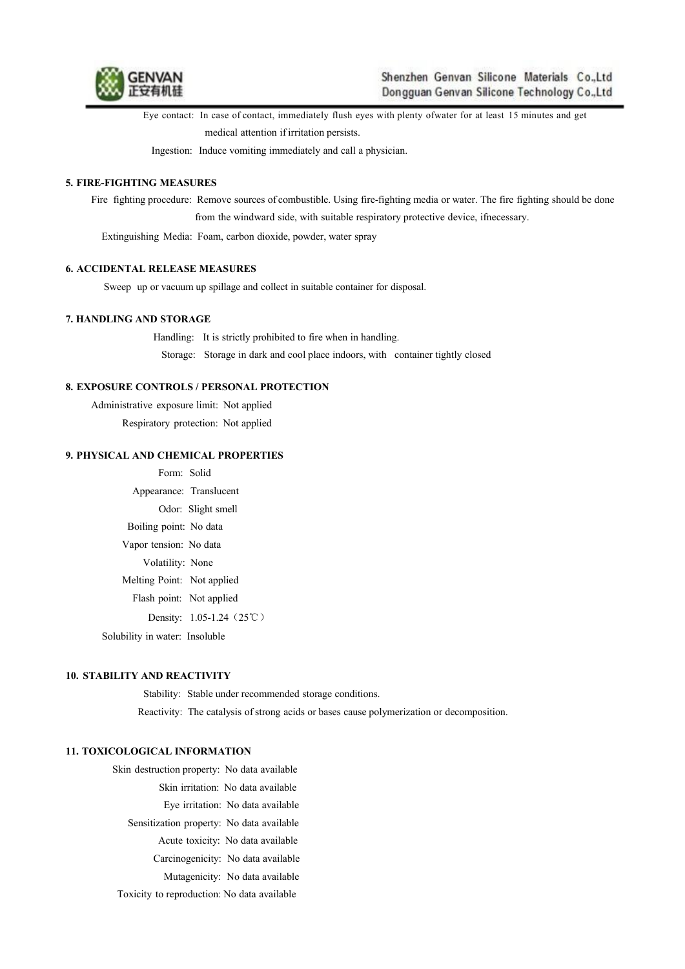

Eye contact: In case of contact, immediately flush eyes with plenty ofwater for atleast 15 minutes and get medical attention if irritation persists.

Ingestion: Induce vomiting immediately and call a physician.

## **5. FIRE-FIGHTING MEASURES**

Fire fighting procedure: Remove sources ofcombustible. Using fire-fighting media or water. The fire fighting should be done from the windward side, with suitable respiratory protective device, ifnecessary.

Extinguishing Media: Foam, carbon dioxide, powder, water spray

## **6. ACCIDENTAL RELEASE MEASURES**

Sweep up or vacuum up spillage and collect in suitable container for disposal.

## **7. HANDLING AND STORAGE**

Handling: It is strictly prohibited to fire when in handling. Storage: Storage in dark and cool place indoors, with container tightly closed

## **8. EXPOSURE CONTROLS / PERSONAL PROTECTION**

Administrative exposure limit: Not applied Respiratory protection: Not applied

#### **9. PHYSICAL AND CHEMICAL PROPERTIES**

Form: Solid Appearance: Translucent Odor: Slight smell Boiling point: No data Vapor tension: No data Volatility: None Melting Point: Not applied Flash point: Not applied Density: 1.05-1.24 (25℃)

Solubility in water: Insoluble

#### **10. STABILITY AND REACTIVITY**

Stability: Stable under recommended storage conditions.

Reactivity: The catalysis of strong acids or bases cause polymerization or decomposition.

# **11. TOXICOLOGICAL INFORMATION**

Skin destruction property: No data available

Skin irritation: No data available

Eye irritation: No data available

Sensitization property: No data available

Acute toxicity: No data available

- Carcinogenicity: No data available
- Mutagenicity: No data available

Toxicity to reproduction: No data available